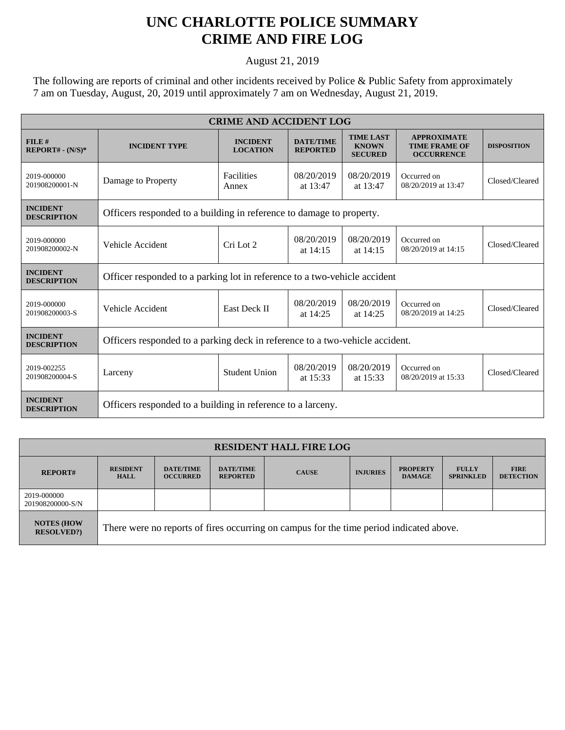## **UNC CHARLOTTE POLICE SUMMARY CRIME AND FIRE LOG**

August 21, 2019

The following are reports of criminal and other incidents received by Police & Public Safety from approximately 7 am on Tuesday, August, 20, 2019 until approximately 7 am on Wednesday, August 21, 2019.

| <b>CRIME AND ACCIDENT LOG</b>         |                                                                              |                                    |                                     |                                                    |                                                                 |                    |  |
|---------------------------------------|------------------------------------------------------------------------------|------------------------------------|-------------------------------------|----------------------------------------------------|-----------------------------------------------------------------|--------------------|--|
| $FILE$ #<br>$REPORT# - (N/S)*$        | <b>INCIDENT TYPE</b>                                                         | <b>INCIDENT</b><br><b>LOCATION</b> | <b>DATE/TIME</b><br><b>REPORTED</b> | <b>TIME LAST</b><br><b>KNOWN</b><br><b>SECURED</b> | <b>APPROXIMATE</b><br><b>TIME FRAME OF</b><br><b>OCCURRENCE</b> | <b>DISPOSITION</b> |  |
| 2019-000000<br>201908200001-N         | Damage to Property                                                           | Facilities<br>Annex                | 08/20/2019<br>at 13:47              | 08/20/2019<br>at 13:47                             | Occurred on<br>08/20/2019 at 13:47                              | Closed/Cleared     |  |
| <b>INCIDENT</b><br><b>DESCRIPTION</b> | Officers responded to a building in reference to damage to property.         |                                    |                                     |                                                    |                                                                 |                    |  |
| 2019-000000<br>201908200002-N         | Vehicle Accident                                                             | Cri Lot 2                          | 08/20/2019<br>at $14:15$            | 08/20/2019<br>at $14:15$                           | Occurred on<br>08/20/2019 at 14:15                              | Closed/Cleared     |  |
| <b>INCIDENT</b><br><b>DESCRIPTION</b> | Officer responded to a parking lot in reference to a two-vehicle accident    |                                    |                                     |                                                    |                                                                 |                    |  |
| 2019-000000<br>201908200003-S         | Vehicle Accident                                                             | <b>East Deck II</b>                | 08/20/2019<br>at 14:25              | 08/20/2019<br>at 14:25                             | Occurred on<br>08/20/2019 at 14:25                              | Closed/Cleared     |  |
| <b>INCIDENT</b><br><b>DESCRIPTION</b> | Officers responded to a parking deck in reference to a two-vehicle accident. |                                    |                                     |                                                    |                                                                 |                    |  |
| 2019-002255<br>201908200004-S         | Larceny                                                                      | <b>Student Union</b>               | 08/20/2019<br>at 15:33              | 08/20/2019<br>at 15:33                             | Occurred on<br>08/20/2019 at 15:33                              | Closed/Cleared     |  |
| <b>INCIDENT</b><br><b>DESCRIPTION</b> | Officers responded to a building in reference to a larceny.                  |                                    |                                     |                                                    |                                                                 |                    |  |

| <b>RESIDENT HALL FIRE LOG</b>          |                                                                                         |                                     |                                     |              |                 |                                  |                                  |                                 |
|----------------------------------------|-----------------------------------------------------------------------------------------|-------------------------------------|-------------------------------------|--------------|-----------------|----------------------------------|----------------------------------|---------------------------------|
| <b>REPORT#</b>                         | <b>RESIDENT</b><br><b>HALL</b>                                                          | <b>DATE/TIME</b><br><b>OCCURRED</b> | <b>DATE/TIME</b><br><b>REPORTED</b> | <b>CAUSE</b> | <b>INJURIES</b> | <b>PROPERTY</b><br><b>DAMAGE</b> | <b>FULLY</b><br><b>SPRINKLED</b> | <b>FIRE</b><br><b>DETECTION</b> |
| 2019-000000<br>201908200000-S/N        |                                                                                         |                                     |                                     |              |                 |                                  |                                  |                                 |
| <b>NOTES (HOW</b><br><b>RESOLVED?)</b> | There were no reports of fires occurring on campus for the time period indicated above. |                                     |                                     |              |                 |                                  |                                  |                                 |